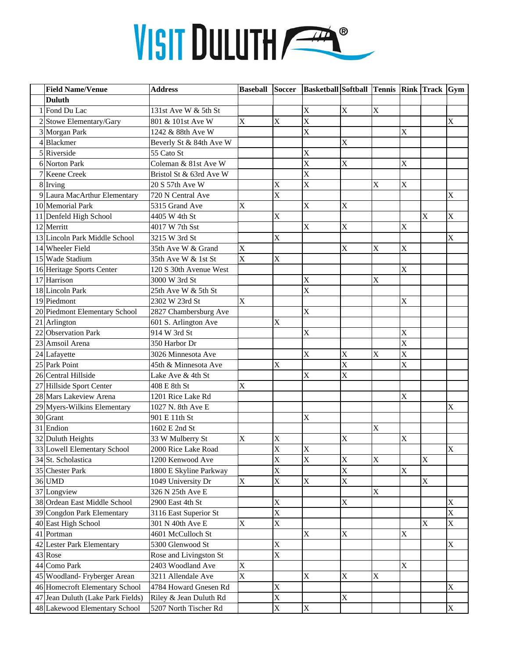## VISIT DULUTH

| <b>Field Name/Venue</b>           | Address                 | <b>Baseball</b> | <b>Soccer</b>         | <b>Basketball Softball Tennis Rink Track Gym</b> |                         |             |             |             |             |
|-----------------------------------|-------------------------|-----------------|-----------------------|--------------------------------------------------|-------------------------|-------------|-------------|-------------|-------------|
| <b>Duluth</b>                     |                         |                 |                       |                                                  |                         |             |             |             |             |
| 1 Fond Du Lac                     | 131st Ave W & 5th St    |                 |                       | X                                                | X                       | $\bf X$     |             |             |             |
| 2 Stowe Elementary/Gary           | 801 & 101st Ave W       | X               | $\mathbf X$           | $\overline{\text{X}}$                            |                         |             |             |             | X           |
| 3 Morgan Park                     | 1242 & 88th Ave W       |                 |                       | $\overline{\text{X}}$                            |                         |             | X           |             |             |
| 4Blackmer                         | Beverly St & 84th Ave W |                 |                       |                                                  | X                       |             |             |             |             |
| 5 Riverside                       | 55 Cato St              |                 |                       | X                                                |                         |             |             |             |             |
| 6 Norton Park                     | Coleman & 81st Ave W    |                 |                       | $\overline{\text{X}}$                            | X                       |             | X           |             |             |
| Keene Creek                       | Bristol St & 63rd Ave W |                 |                       | $\bar{X}$                                        |                         |             |             |             |             |
| 8 Irving                          | 20 S 57th Ave W         |                 | X                     | $\bar{X}$                                        |                         | X           | X           |             |             |
| 9 Laura MacArthur Elementary      | 720 N Central Ave       |                 | X                     |                                                  |                         |             |             |             | X           |
| 10 Memorial Park                  | 5315 Grand Ave          | X               |                       | X                                                | X                       |             |             |             |             |
| 11 Denfeld High School            | 4405 W 4th St           |                 | X                     |                                                  |                         |             |             | X           | X           |
| 12 Merritt                        | 4017 W 7th Sst          |                 |                       | X                                                | X                       |             | X           |             |             |
| 13 Lincoln Park Middle School     | 3215 W 3rd St           |                 | X                     |                                                  |                         |             |             |             | X           |
| 14 Wheeler Field                  | 35th Ave W & Grand      | X               |                       |                                                  | X                       | X           | X           |             |             |
| 15 Wade Stadium                   | 35th Ave W & 1st St     | X               | $\overline{X}$        |                                                  |                         |             |             |             |             |
| 16 Heritage Sports Center         | 120 S 30th Avenue West  |                 |                       |                                                  |                         |             | X           |             |             |
| 17 Harrison                       | 3000 W 3rd St           |                 |                       | X                                                |                         | X           |             |             |             |
| 18 Lincoln Park                   | 25th Ave W & 5th St     |                 |                       | X                                                |                         |             |             |             |             |
| 19 Piedmont                       | 2302 W 23rd St          | X               |                       |                                                  |                         |             | X           |             |             |
| 20 Piedmont Elementary School     | 2827 Chambersburg Ave   |                 |                       | X                                                |                         |             |             |             |             |
| 21 Arlington                      | 601 S. Arlington Ave    |                 | X                     |                                                  |                         |             |             |             |             |
| 22 Observation Park               | 914 W 3rd St            |                 |                       | X                                                |                         |             | X           |             |             |
| 23 Amsoil Arena                   | 350 Harbor Dr           |                 |                       |                                                  |                         |             | X           |             |             |
| 24 Lafayette                      | 3026 Minnesota Ave      |                 |                       | X                                                | X                       | X           | X           |             |             |
| 25 Park Point                     | 45th & Minnesota Ave    |                 | $\mathbf X$           |                                                  | $\overline{\text{X}}$   |             | X           |             |             |
| 26 Central Hillside               | Lake Ave & 4th St       |                 |                       | X                                                | X                       |             |             |             |             |
| 27 Hillside Sport Center          | 408 E 8th St            | X               |                       |                                                  |                         |             |             |             |             |
| 28 Mars Lakeview Arena            | 1201 Rice Lake Rd       |                 |                       |                                                  |                         |             | X           |             |             |
| 29 Myers-Wilkins Elementary       | 1027 N. 8th Ave E       |                 |                       |                                                  |                         |             |             |             | X           |
| 30 Grant                          | 901 E 11th St           |                 |                       | X                                                |                         |             |             |             |             |
| 31 Endion                         | 1602 E 2nd St           |                 |                       |                                                  |                         | X           |             |             |             |
| 32 Duluth Heights                 | 33 W Mulberry St        | X               | X                     |                                                  | X                       |             | X           |             |             |
| 33 Lowell Elementary School       | 2000 Rice Lake Road     |                 | $\bar{X}$             | X                                                |                         |             |             |             | X           |
| 34 St. Scholastica                | 1200 Kenwood Ave        |                 | X                     | X                                                | X                       | $\mathbf X$ |             | $\mathbf X$ |             |
| 35 Chester Park                   | 1800 E Skyline Parkway  |                 | $\overline{\text{X}}$ |                                                  | $\overline{\mathbf{X}}$ |             | X           |             |             |
| 36 UMD                            | 1049 University Dr      | X               | X                     | X                                                | X                       |             |             | X           |             |
| 37 Longview                       | 326 N 25th Ave E        |                 |                       |                                                  |                         | X           |             |             |             |
| 38 Ordean East Middle School      | 2900 East 4th St        |                 | X                     |                                                  | X                       |             |             |             | X           |
| 39 Congdon Park Elementary        | 3116 East Superior St   |                 | $\overline{\text{X}}$ |                                                  |                         |             |             |             | X           |
| 40 East High School               | 301 N 40th Ave E        | X               | $\mathbf X$           |                                                  |                         |             |             | X           | X           |
| 41 Portman                        | 4601 McCulloch St       |                 |                       | X                                                | X                       |             | $\mathbf X$ |             |             |
| 42 Lester Park Elementary         | 5300 Glenwood St        |                 | X                     |                                                  |                         |             |             |             | $\mathbf X$ |
| 43 Rose                           | Rose and Livingston St  |                 | X                     |                                                  |                         |             |             |             |             |
| 44 Como Park                      | 2403 Woodland Ave       | X               |                       |                                                  |                         |             | X           |             |             |
| 45 Woodland- Fryberger Arean      | 3211 Allendale Ave      | X               |                       | X                                                | X                       | X           |             |             |             |
| 46 Homecroft Elementary School    | 4784 Howard Gnesen Rd   |                 | X                     |                                                  |                         |             |             |             | X           |
| 47 Jean Duluth (Lake Park Fields) | Riley & Jean Duluth Rd  |                 | X                     |                                                  | X                       |             |             |             |             |
| 48 Lakewood Elementary School     | 5207 North Tischer Rd   |                 | $\overline{\text{X}}$ | X                                                |                         |             |             |             | X           |